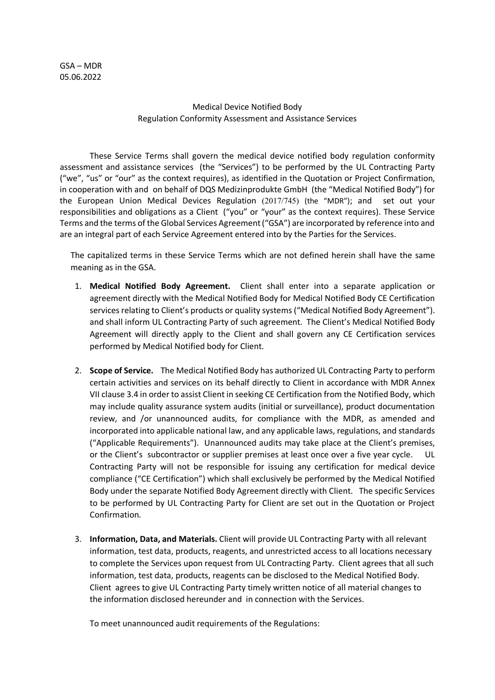## Medical Device Notified Body Regulation Conformity Assessment and Assistance Services

These Service Terms shall govern the medical device notified body regulation conformity assessment and assistance services (the "Services") to be performed by the UL Contracting Party ("we", "us" or "our" as the context requires), as identified in the Quotation or Project Confirmation, in cooperation with and on behalf of DQS Medizinprodukte GmbH (the "Medical Notified Body") for the European Union Medical Devices Regulation (2017/745) (the "MDR"); and set out your responsibilities and obligations as a Client ("you" or "your" as the context requires). These Service Terms and the terms of the Global Services Agreement ("GSA") are incorporated by reference into and are an integral part of each Service Agreement entered into by the Parties for the Services.

The capitalized terms in these Service Terms which are not defined herein shall have the same meaning as in the GSA.

- 1. **Medical Notified Body Agreement.** Client shall enter into a separate application or agreement directly with the Medical Notified Body for Medical Notified Body CE Certification services relating to Client's products or quality systems ("Medical Notified Body Agreement"). and shall inform UL Contracting Party of such agreement. The Client's Medical Notified Body Agreement will directly apply to the Client and shall govern any CE Certification services performed by Medical Notified body for Client.
- 2. **Scope of Service.** The Medical Notified Body has authorized UL Contracting Party to perform certain activities and services on its behalf directly to Client in accordance with MDR Annex VII clause 3.4 in order to assist Client in seeking CE Certification from the Notified Body, which may include quality assurance system audits (initial or surveillance), product documentation review, and /or unannounced audits, for compliance with the MDR, as amended and incorporated into applicable national law, and any applicable laws, regulations, and standards ("Applicable Requirements"). Unannounced audits may take place at the Client's premises, or the Client's subcontractor or supplier premises at least once over a five year cycle. UL Contracting Party will not be responsible for issuing any certification for medical device compliance ("CE Certification") which shall exclusively be performed by the Medical Notified Body under the separate Notified Body Agreement directly with Client. The specific Services to be performed by UL Contracting Party for Client are set out in the Quotation or Project Confirmation.
- 3. **Information, Data, and Materials.** Client will provide UL Contracting Party with all relevant information, test data, products, reagents, and unrestricted access to all locations necessary to complete the Services upon request from UL Contracting Party. Client agrees that all such information, test data, products, reagents can be disclosed to the Medical Notified Body. Client agrees to give UL Contracting Party timely written notice of all material changes to the information disclosed hereunder and in connection with the Services.

To meet unannounced audit requirements of the Regulations: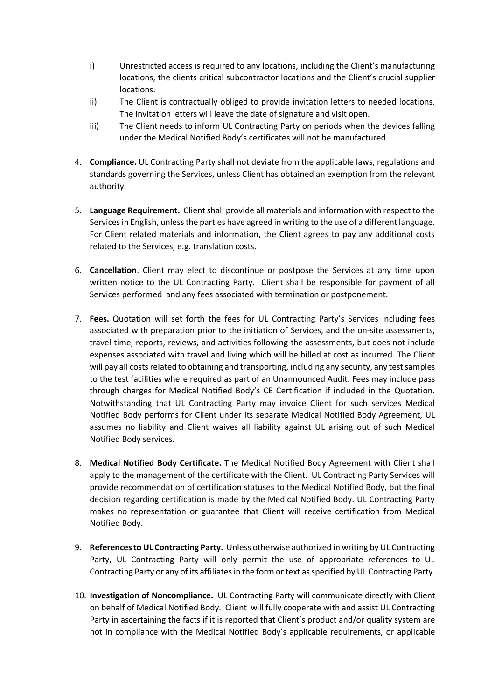- i) Unrestricted access is required to any locations, including the Client's manufacturing locations, the clients critical subcontractor locations and the Client's crucial supplier locations.
- ii) The Client is contractually obliged to provide invitation letters to needed locations. The invitation letters will leave the date of signature and visit open.
- iii) The Client needs to inform UL Contracting Party on periods when the devices falling under the Medical Notified Body's certificates will not be manufactured.
- 4. **Compliance.** UL Contracting Party shall not deviate from the applicable laws, regulations and standards governing the Services, unless Client has obtained an exemption from the relevant authority.
- 5. Language Requirement. Client shall provide all materials and information with respect to the Services in English, unless the parties have agreed in writing to the use of a different language. For Client related materials and information, the Client agrees to pay any additional costs related to the Services, e.g. translation costs.
- 6. **Cancellation**. Client may elect to discontinue or postpose the Services at any time upon written notice to the UL Contracting Party. Client shall be responsible for payment of all Services performed and any fees associated with termination or postponement.
- 7. **Fees.** Quotation will set forth the fees for UL Contracting Party's Services including fees associated with preparation prior to the initiation of Services, and the on-site assessments, travel time, reports, reviews, and activities following the assessments, but does not include expenses associated with travel and living which will be billed at cost as incurred. The Client will pay all costs related to obtaining and transporting, including any security, any test samples to the test facilities where required as part of an Unannounced Audit. Fees may include pass through charges for Medical Notified Body's CE Certification if included in the Quotation. Notwithstanding that UL Contracting Party may invoice Client for such services Medical Notified Body performs for Client under its separate Medical Notified Body Agreement, UL assumes no liability and Client waives all liability against UL arising out of such Medical Notified Body services.
- 8. **Medical Notified Body Certificate.** The Medical Notified Body Agreement with Client shall apply to the management of the certificate with the Client. UL Contracting Party Services will provide recommendation of certification statuses to the Medical Notified Body, but the final decision regarding certification is made by the Medical Notified Body. UL Contracting Party makes no representation or guarantee that Client will receive certification from Medical Notified Body.
- 9. **References to UL Contracting Party.** Unless otherwise authorized in writing by UL Contracting Party, UL Contracting Party will only permit the use of appropriate references to UL Contracting Party or any of its affiliates in the form or text as specified by UL Contracting Party..
- 10. **Investigation of Noncompliance.** UL Contracting Party will communicate directly with Client on behalf of Medical Notified Body. Client will fully cooperate with and assist UL Contracting Party in ascertaining the facts if it is reported that Client's product and/or quality system are not in compliance with the Medical Notified Body's applicable requirements, or applicable